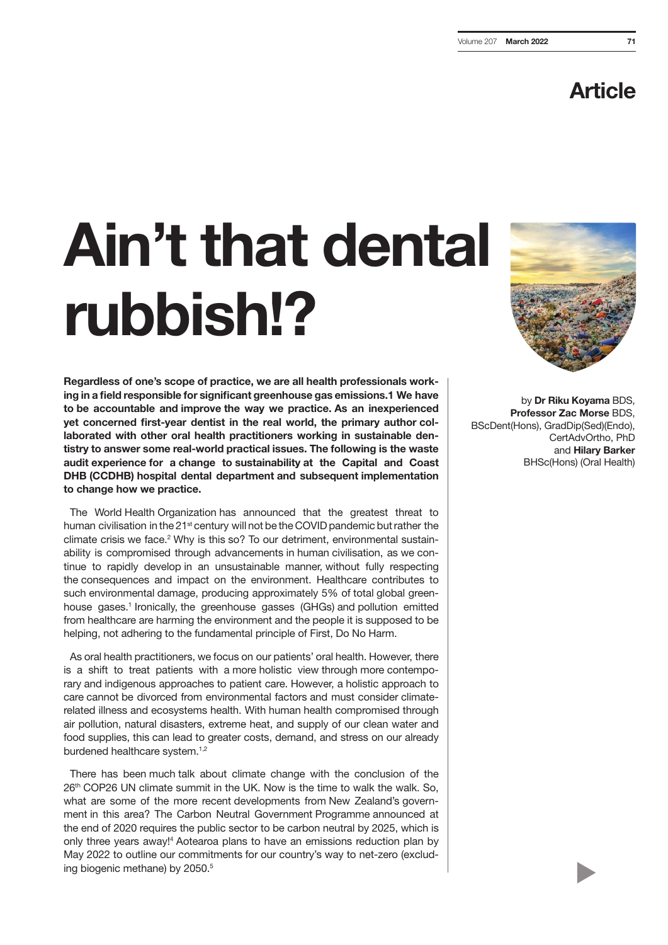### Article

# Ain't that dental rubbish!?

Regardless of one's scope of practice, we are all health professionals working in a field responsible for significant greenhouse gas emissions.1 We have to be accountable and improve the way we practice. As an inexperienced yet concerned first-year dentist in the real world, the primary author collaborated with other oral health practitioners working in sustainable dentistry to answer some real-world practical issues. The following is the waste audit experience for a change to sustainability at the Capital and Coast DHB (CCDHB) hospital dental department and subsequent implementation to change how we practice.

The World Health Organization has announced that the greatest threat to human civilisation in the 21<sup>st</sup> century will not be the COVID pandemic but rather the climate crisis we face.<sup>2</sup> Why is this so? To our detriment, environmental sustainability is compromised through advancements in human civilisation, as we continue to rapidly develop in an unsustainable manner, without fully respecting the consequences and impact on the environment. Healthcare contributes to such environmental damage, producing approximately 5% of total global greenhouse gases.<sup>1</sup> Ironically, the greenhouse gasses (GHGs) and pollution emitted from healthcare are harming the environment and the people it is supposed to be helping, not adhering to the fundamental principle of First, Do No Harm.

As oral health practitioners, we focus on our patients' oral health. However, there is a shift to treat patients with a more holistic view through more contemporary and indigenous approaches to patient care. However, a holistic approach to care cannot be divorced from environmental factors and must consider climaterelated illness and ecosystems health. With human health compromised through air pollution, natural disasters, extreme heat, and supply of our clean water and food supplies, this can lead to greater costs, demand, and stress on our already burdened healthcare system.<sup>1,2</sup>

There has been much talk about climate change with the conclusion of the 26<sup>th</sup> COP26 UN climate summit in the UK. Now is the time to walk the walk. So, what are some of the more recent developments from New Zealand's government in this area? The Carbon Neutral Government Programme announced at the end of 2020 requires the public sector to be carbon neutral by 2025, which is only three years away!4 Aotearoa plans to have an emissions reduction plan by May 2022 to outline our commitments for our country's way to net-zero (excluding biogenic methane) by 2050.<sup>5</sup>



by Dr Riku Koyama BDS, Professor Zac Morse BDS, BScDent(Hons), GradDip(Sed)(Endo), CertAdvOrtho, PhD and Hilary Barker BHSc(Hons) (Oral Health)

 $\blacktriangleright$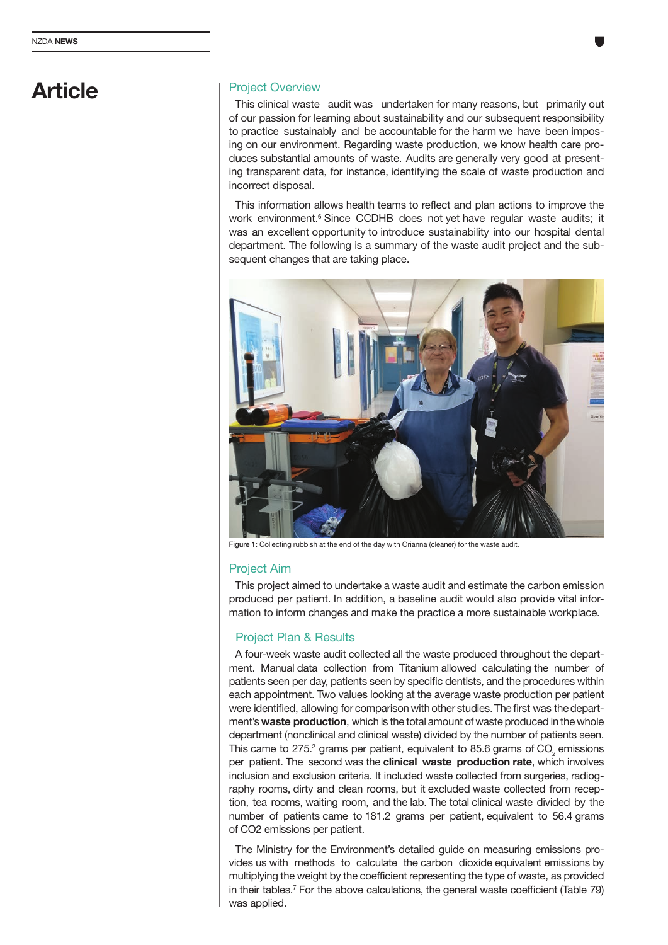### Article

### Project Overview

This clinical waste audit was undertaken for many reasons, but primarily out of our passion for learning about sustainability and our subsequent responsibility to practice sustainably and be accountable for the harm we have been imposing on our environment. Regarding waste production, we know health care produces substantial amounts of waste. Audits are generally very good at presenting transparent data, for instance, identifying the scale of waste production and incorrect disposal.

This information allows health teams to reflect and plan actions to improve the work environment.<sup>6</sup> Since CCDHB does not yet have regular waste audits; it was an excellent opportunity to introduce sustainability into our hospital dental department. The following is a summary of the waste audit project and the subsequent changes that are taking place.



Figure 1: Collecting rubbish at the end of the day with Orianna (cleaner) for the waste audit

### Project Aim

This project aimed to undertake a waste audit and estimate the carbon emission produced per patient. In addition, a baseline audit would also provide vital information to inform changes and make the practice a more sustainable workplace.

### Project Plan & Results

A four-week waste audit collected all the waste produced throughout the department. Manual data collection from Titanium allowed calculating the number of patients seen per day, patients seen by specific dentists, and the procedures within each appointment. Two values looking at the average waste production per patient were identified, allowing for comparison with other studies. The first was the department's waste production, which is the total amount of waste produced in the whole department (nonclinical and clinical waste) divided by the number of patients seen. This came to 275.<sup>2</sup> grams per patient, equivalent to 85.6 grams of CO<sub>2</sub> emissions per patient. The second was the **clinical waste production rate**, which involves inclusion and exclusion criteria. It included waste collected from surgeries, radiography rooms, dirty and clean rooms, but it excluded waste collected from reception, tea rooms, waiting room, and the lab. The total clinical waste divided by the number of patients came to 181.2 grams per patient, equivalent to 56.4 grams of CO2 emissions per patient.

The Ministry for the Environment's detailed guide on measuring emissions provides us with methods to calculate the carbon dioxide equivalent emissions by multiplying the weight by the coefficient representing the type of waste, as provided in their tables.<sup>7</sup> For the above calculations, the general waste coefficient (Table 79) was applied.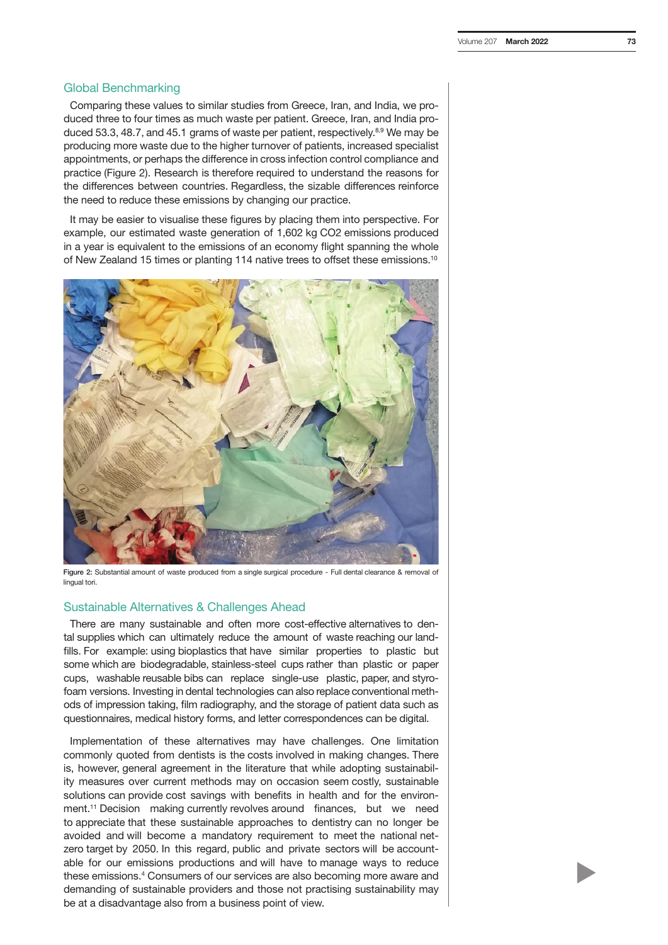### Global Benchmarking

Comparing these values to similar studies from Greece, Iran, and India, we produced three to four times as much waste per patient. Greece, Iran, and India produced 53.3, 48.7, and 45.1 grams of waste per patient, respectively. $8,9$  We may be producing more waste due to the higher turnover of patients, increased specialist appointments, or perhaps the difference in cross infection control compliance and practice (Figure 2). Research is therefore required to understand the reasons for the differences between countries. Regardless, the sizable differences reinforce the need to reduce these emissions by changing our practice.

It may be easier to visualise these figures by placing them into perspective. For example, our estimated waste generation of 1,602 kg CO2 emissions produced in a year is equivalent to the emissions of an economy flight spanning the whole of New Zealand 15 times or planting 114 native trees to offset these emissions.10



Figure 2: Substantial amount of waste produced from a single surgical procedure - Full dental clearance & removal of lingual tori.

### Sustainable Alternatives & Challenges Ahead

There are many sustainable and often more cost-effective alternatives to dental supplies which can ultimately reduce the amount of waste reaching our landfills. For example: using bioplastics that have similar properties to plastic but some which are biodegradable, stainless-steel cups rather than plastic or paper cups, washable reusable bibs can replace single-use plastic, paper, and styrofoam versions. Investing in dental technologies can also replace conventional methods of impression taking, film radiography, and the storage of patient data such as questionnaires, medical history forms, and letter correspondences can be digital.

Implementation of these alternatives may have challenges. One limitation commonly quoted from dentists is the costs involved in making changes. There is, however, general agreement in the literature that while adopting sustainability measures over current methods may on occasion seem costly, sustainable solutions can provide cost savings with benefits in health and for the environment.11 Decision making currently revolves around finances, but we need to appreciate that these sustainable approaches to dentistry can no longer be avoided and will become a mandatory requirement to meet the national netzero target by 2050. In this regard, public and private sectors will be accountable for our emissions productions and will have to manage ways to reduce these emissions.4 Consumers of our services are also becoming more aware and demanding of sustainable providers and those not practising sustainability may be at a disadvantage also from a business point of view.

 $\blacktriangleright$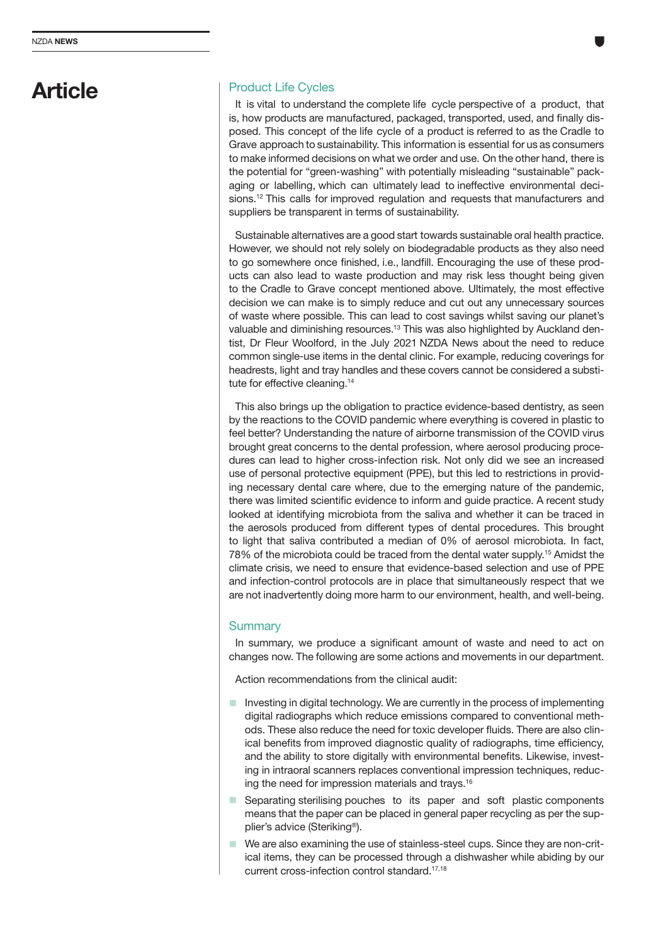## Article

### Product Life Cycles

It is vital to understand the complete life cycle perspective of a product, that is, how products are manufactured, packaged, transported, used, and finally disposed. This concept of the life cycle of a product is referred to as the Cradle to Grave approach to sustainability. This information is essential for us as consumers to make informed decisions on what we order and use. On the other hand, there is the potential for "green-washing" with potentially misleading "sustainable" packaging or labelling, which can ultimately lead to ineffective environmental decisions.<sup>12</sup> This calls for improved regulation and requests that manufacturers and suppliers be transparent in terms of sustainability.

Sustainable alternatives are a good start towards sustainable oral health practice. However, we should not rely solely on biodegradable products as they also need to go somewhere once finished, i.e., landfill. Encouraging the use of these products can also lead to waste production and may risk less thought being given to the Cradle to Grave concept mentioned above. Ultimately, the most effective decision we can make is to simply reduce and cut out any unnecessary sources of waste where possible. This can lead to cost savings whilst saving our planet's valuable and diminishing resources.13 This was also highlighted by Auckland dentist, Dr Fleur Woolford, in the July 2021 NZDA News about the need to reduce common single-use items in the dental clinic. For example, reducing coverings for headrests, light and tray handles and these covers cannot be considered a substitute for effective cleaning.14

This also brings up the obligation to practice evidence-based dentistry, as seen by the reactions to the COVID pandemic where everything is covered in plastic to feel better? Understanding the nature of airborne transmission of the COVID virus brought great concerns to the dental profession, where aerosol producing procedures can lead to higher cross-infection risk. Not only did we see an increased use of personal protective equipment (PPE), but this led to restrictions in providing necessary dental care where, due to the emerging nature of the pandemic, there was limited scientific evidence to inform and guide practice. A recent study looked at identifying microbiota from the saliva and whether it can be traced in the aerosols produced from different types of dental procedures. This brought to light that saliva contributed a median of 0% of aerosol microbiota. In fact, 78% of the microbiota could be traced from the dental water supply.15 Amidst the climate crisis, we need to ensure that evidence-based selection and use of PPE and infection-control protocols are in place that simultaneously respect that we are not inadvertently doing more harm to our environment, health, and well-being.

### **Summary**

In summary, we produce a significant amount of waste and need to act on changes now. The following are some actions and movements in our department.

Action recommendations from the clinical audit:

- $\blacksquare$  Investing in digital technology. We are currently in the process of implementing digital radiographs which reduce emissions compared to conventional methods. These also reduce the need for toxic developer fluids. There are also clinical benefits from improved diagnostic quality of radiographs, time efficiency, and the ability to store digitally with environmental benefits. Likewise, investing in intraoral scanners replaces conventional impression techniques, reducing the need for impression materials and trays.16
- $\blacksquare$  Separating sterilising pouches to its paper and soft plastic components means that the paper can be placed in general paper recycling as per the supplier's advice (Steriking®).
- $\blacksquare$  We are also examining the use of stainless-steel cups. Since they are non-critical items, they can be processed through a dishwasher while abiding by our current cross-infection control standard.17,18